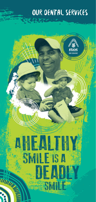### Our dental services

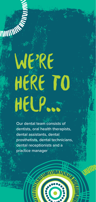# WE'RE HERE TO HELP...

Our dental team consists of dentists, oral health therapists, dental assistants, dental prosthetists, dental technicians, dental receptionists and a practice manager

Willie

O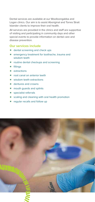Dental services are available at our Woolloongabba and Logan clinics. Our aim is to assist Aboriginal and Torres Strait Islander clients to improve their oral health.

All services are provided in the clinics and staff are supportive of visiting and participating in community days and other special events to provide information on dental care and disease prevention.

#### **Our services include**

- dental screening and check ups
- **e** emergency treatment for toothache, trauma and wisdom teeth
- **•** routine dental checkups and screening
- $\bullet$  fillings
- $\bullet$  extractions
- root canal on anterior teeth
- wisdom teeth extractions
- dentures and crowns
- $\bullet$  mouth quards and splints
- specialist referrals
- scaling and cleaning with oral health promotion
- regular recalls and follow up

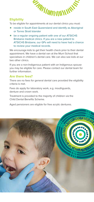

#### **Eligibility**

To be eligible for appointments at our dental clinics you must:

- reside in South East Queensland and identify as Aboriginal or Torres Strait Islander
- be a regular ongoing patient with one of our ATSICHS Brisbane medical clinics. If you are a new patient to ATSICHS Brisbane, our GPs will need to have had a chance to review your medical records.

We encourage kids to get their health check prior to their dental appointment. We have a dental van at the Murri School that specialises in children's dental care. We can also see kids at our two other clinics.

If you are a non-Indigenous patient with an Indigenous spouse you may be eligible for care. Please contact our dental team for further information.

#### **Are there fees?**

There are no fees for general dental care provided the eligibility criteria is met.

Fees do apply for laboratory work, e.g. mouthguards, denture and crown work.

Treatment is provided to the majority of children via the Child Dental Benefits Scheme.

Aged pensioners are eligible for free acrylic dentures.

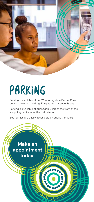

## Parking

Parking is available at our Woolloongabba Dental Clinic behind the main building. Entry is via Clarence Street.

Parking is available at our Logan Clinic at the front of the shopping centre or at the train station.

Both clinics are easily accessible by public transport.

**Make an appointment THURSE today!ERMINIANO**